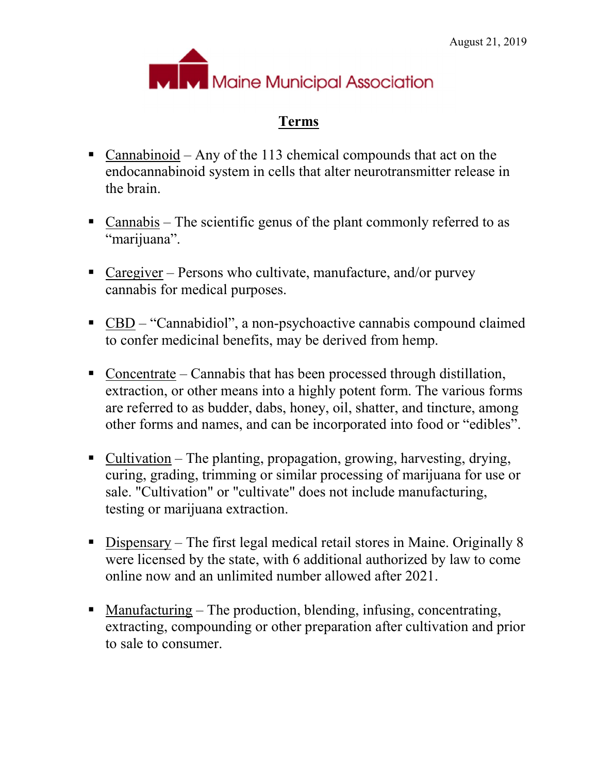

## Terms

- Cannabinoid Any of the 113 chemical compounds that act on the endocannabinoid system in cells that alter neurotransmitter release in the brain.
- Cannabis The scientific genus of the plant commonly referred to as "marijuana".
- Caregiver Persons who cultivate, manufacture, and/or purvey cannabis for medical purposes.
- CBD "Cannabidiol", a non-psychoactive cannabis compound claimed to confer medicinal benefits, may be derived from hemp.
- Concentrate Cannabis that has been processed through distillation, extraction, or other means into a highly potent form. The various forms are referred to as budder, dabs, honey, oil, shatter, and tincture, among other forms and names, and can be incorporated into food or "edibles".
- Cultivation The planting, propagation, growing, harvesting, drying, curing, grading, trimming or similar processing of marijuana for use or sale. "Cultivation" or "cultivate" does not include manufacturing, testing or marijuana extraction.
- Dispensary The first legal medical retail stores in Maine. Originally 8 were licensed by the state, with 6 additional authorized by law to come online now and an unlimited number allowed after 2021.
- Manufacturing The production, blending, infusing, concentrating, extracting, compounding or other preparation after cultivation and prior to sale to consumer.